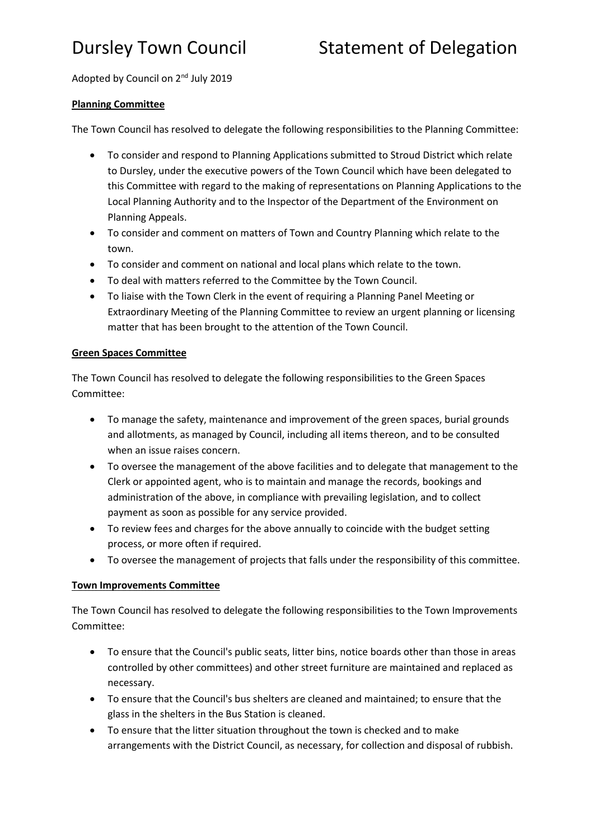Adopted by Council on 2<sup>nd</sup> July 2019

## **Planning Committee**

The Town Council has resolved to delegate the following responsibilities to the Planning Committee:

- To consider and respond to Planning Applications submitted to Stroud District which relate to Dursley, under the executive powers of the Town Council which have been delegated to this Committee with regard to the making of representations on Planning Applications to the Local Planning Authority and to the Inspector of the Department of the Environment on Planning Appeals.
- To consider and comment on matters of Town and Country Planning which relate to the town.
- To consider and comment on national and local plans which relate to the town.
- To deal with matters referred to the Committee by the Town Council.
- To liaise with the Town Clerk in the event of requiring a Planning Panel Meeting or Extraordinary Meeting of the Planning Committee to review an urgent planning or licensing matter that has been brought to the attention of the Town Council.

### **Green Spaces Committee**

The Town Council has resolved to delegate the following responsibilities to the Green Spaces Committee:

- To manage the safety, maintenance and improvement of the green spaces, burial grounds and allotments, as managed by Council, including all items thereon, and to be consulted when an issue raises concern.
- To oversee the management of the above facilities and to delegate that management to the Clerk or appointed agent, who is to maintain and manage the records, bookings and administration of the above, in compliance with prevailing legislation, and to collect payment as soon as possible for any service provided.
- To review fees and charges for the above annually to coincide with the budget setting process, or more often if required.
- To oversee the management of projects that falls under the responsibility of this committee.

## **Town Improvements Committee**

The Town Council has resolved to delegate the following responsibilities to the Town Improvements Committee:

- To ensure that the Council's public seats, litter bins, notice boards other than those in areas controlled by other committees) and other street furniture are maintained and replaced as necessary.
- To ensure that the Council's bus shelters are cleaned and maintained; to ensure that the glass in the shelters in the Bus Station is cleaned.
- To ensure that the litter situation throughout the town is checked and to make arrangements with the District Council, as necessary, for collection and disposal of rubbish.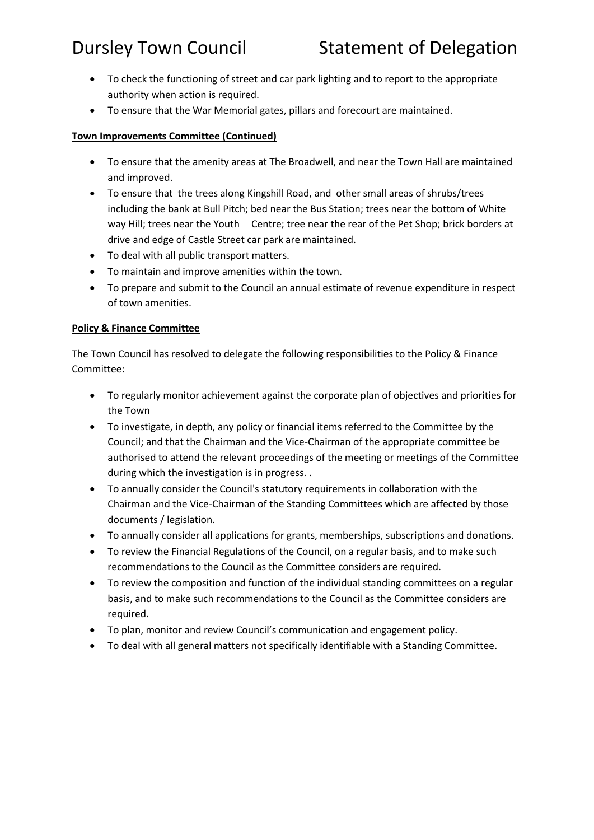- To check the functioning of street and car park lighting and to report to the appropriate authority when action is required.
- To ensure that the War Memorial gates, pillars and forecourt are maintained.

# **Town Improvements Committee (Continued)**

- To ensure that the amenity areas at The Broadwell, and near the Town Hall are maintained and improved.
- To ensure that the trees along Kingshill Road, and other small areas of shrubs/trees including the bank at Bull Pitch; bed near the Bus Station; trees near the bottom of White way Hill; trees near the Youth Centre; tree near the rear of the Pet Shop; brick borders at drive and edge of Castle Street car park are maintained.
- To deal with all public transport matters.
- To maintain and improve amenities within the town.
- To prepare and submit to the Council an annual estimate of revenue expenditure in respect of town amenities.

# **Policy & Finance Committee**

The Town Council has resolved to delegate the following responsibilities to the Policy & Finance Committee:

- To regularly monitor achievement against the corporate plan of objectives and priorities for the Town
- To investigate, in depth, any policy or financial items referred to the Committee by the Council; and that the Chairman and the Vice-Chairman of the appropriate committee be authorised to attend the relevant proceedings of the meeting or meetings of the Committee during which the investigation is in progress. .
- To annually consider the Council's statutory requirements in collaboration with the Chairman and the Vice-Chairman of the Standing Committees which are affected by those documents / legislation.
- To annually consider all applications for grants, memberships, subscriptions and donations.
- To review the Financial Regulations of the Council, on a regular basis, and to make such recommendations to the Council as the Committee considers are required.
- To review the composition and function of the individual standing committees on a regular basis, and to make such recommendations to the Council as the Committee considers are required.
- To plan, monitor and review Council's communication and engagement policy.
- To deal with all general matters not specifically identifiable with a Standing Committee.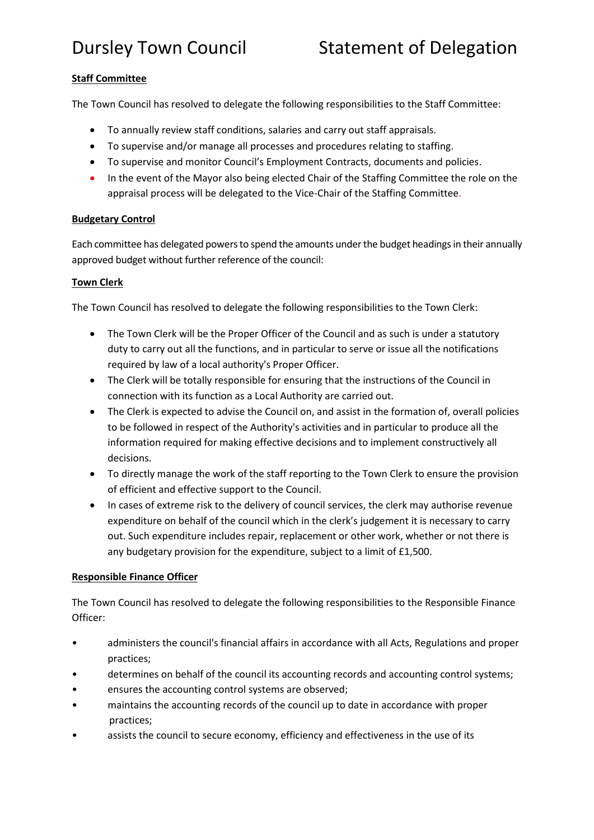# Dursley Town Council Statement of Delegation

### **Staff Committee**

The Town Council has resolved to delegate the following responsibilities to the Staff Committee:

- To annually review staff conditions, salaries and carry out staff appraisals.
- To supervise and/or manage all processes and procedures relating to staffing.
- To supervise and monitor Council's Employment Contracts, documents and policies.
- In the event of the Mayor also being elected Chair of the Staffing Committee the role on the appraisal process will be delegated to the Vice-Chair of the Staffing Committee.

#### **Budgetary Control**

Each committee has delegated powers to spend the amounts under the budget headings in their annually approved budget without further reference of the council:

#### **Town Clerk**

The Town Council has resolved to delegate the following responsibilities to the Town Clerk:

- The Town Clerk will be the Proper Officer of the Council and as such is under a statutory duty to carry out all the functions, and in particular to serve or issue all the notifications required by law of a local authority's Proper Officer.
- The Clerk will be totally responsible for ensuring that the instructions of the Council in connection with its function as a Local Authority are carried out.
- The Clerk is expected to advise the Council on, and assist in the formation of, overall policies to be followed in respect of the Authority's activities and in particular to produce all the information required for making effective decisions and to implement constructively all decisions.
- To directly manage the work of the staff reporting to the Town Clerk to ensure the provision of efficient and effective support to the Council.
- In cases of extreme risk to the delivery of council services, the clerk may authorise revenue expenditure on behalf of the council which in the clerk's judgement it is necessary to carry out. Such expenditure includes repair, replacement or other work, whether or not there is any budgetary provision for the expenditure, subject to a limit of £1,500.

### **Responsible Finance Officer**

The Town Council has resolved to delegate the following responsibilities to the Responsible Finance Officer:

- administers the council's financial affairs in accordance with all Acts, Regulations and proper practices;
- determines on behalf of the council its accounting records and accounting control systems;
- ensures the accounting control systems are observed;
- maintains the accounting records of the council up to date in accordance with proper practices;
- assists the council to secure economy, efficiency and effectiveness in the use of its